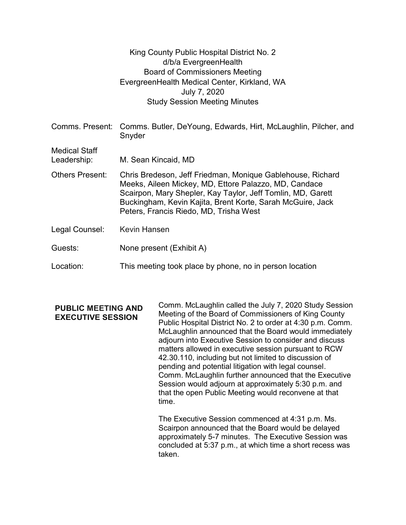|                                     | King County Public Hospital District No. 2<br>d/b/a EvergreenHealth<br><b>Board of Commissioners Meeting</b><br>EvergreenHealth Medical Center, Kirkland, WA<br>July 7, 2020<br><b>Study Session Meeting Minutes</b>                                                                       |
|-------------------------------------|--------------------------------------------------------------------------------------------------------------------------------------------------------------------------------------------------------------------------------------------------------------------------------------------|
|                                     | Comms. Present: Comms. Butler, DeYoung, Edwards, Hirt, McLaughlin, Pilcher, and<br>Snyder                                                                                                                                                                                                  |
| <b>Medical Staff</b><br>Leadership: | M. Sean Kincaid, MD                                                                                                                                                                                                                                                                        |
| <b>Others Present:</b>              | Chris Bredeson, Jeff Friedman, Monique Gablehouse, Richard<br>Meeks, Aileen Mickey, MD, Ettore Palazzo, MD, Candace<br>Scairpon, Mary Shepler, Kay Taylor, Jeff Tomlin, MD, Garett<br>Buckingham, Kevin Kajita, Brent Korte, Sarah McGuire, Jack<br>Peters, Francis Riedo, MD, Trisha West |
| Legal Counsel:                      | <b>Kevin Hansen</b>                                                                                                                                                                                                                                                                        |
| Guests:                             | None present (Exhibit A)                                                                                                                                                                                                                                                                   |
| Location:                           | This meeting took place by phone, no in person location                                                                                                                                                                                                                                    |

PUBLIC MEETING AND EXECUTIVE SESSION Comm. McLaughlin called the July 7, 2020 Study Session Meeting of the Board of Commissioners of King County Public Hospital District No. 2 to order at 4:30 p.m. Comm. McLaughlin announced that the Board would immediately adjourn into Executive Session to consider and discuss matters allowed in executive session pursuant to RCW 42.30.110, including but not limited to discussion of pending and potential litigation with legal counsel. Comm. McLaughlin further announced that the Executive Session would adjourn at approximately 5:30 p.m. and that the open Public Meeting would reconvene at that time.

> The Executive Session commenced at 4:31 p.m. Ms. Scairpon announced that the Board would be delayed approximately 5-7 minutes. The Executive Session was concluded at 5:37 p.m., at which time a short recess was taken.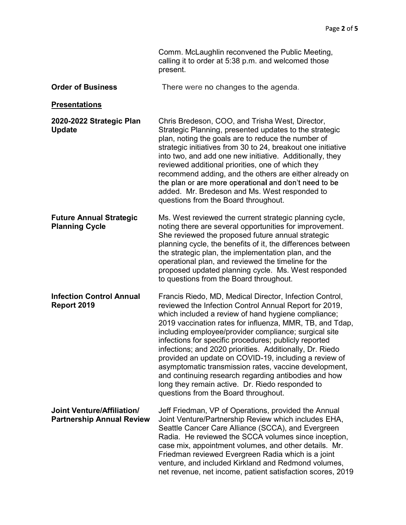|                                                                       | Comm. McLaughlin reconvened the Public Meeting,<br>calling it to order at 5:38 p.m. and welcomed those<br>present.                                                                                                                                                                                                                                                                                                                                                                                                                                                                                                                                                                      |
|-----------------------------------------------------------------------|-----------------------------------------------------------------------------------------------------------------------------------------------------------------------------------------------------------------------------------------------------------------------------------------------------------------------------------------------------------------------------------------------------------------------------------------------------------------------------------------------------------------------------------------------------------------------------------------------------------------------------------------------------------------------------------------|
| <b>Order of Business</b>                                              | There were no changes to the agenda.                                                                                                                                                                                                                                                                                                                                                                                                                                                                                                                                                                                                                                                    |
| <b>Presentations</b>                                                  |                                                                                                                                                                                                                                                                                                                                                                                                                                                                                                                                                                                                                                                                                         |
| 2020-2022 Strategic Plan<br><b>Update</b>                             | Chris Bredeson, COO, and Trisha West, Director,<br>Strategic Planning, presented updates to the strategic<br>plan, noting the goals are to reduce the number of<br>strategic initiatives from 30 to 24, breakout one initiative<br>into two, and add one new initiative. Additionally, they<br>reviewed additional priorities, one of which they<br>recommend adding, and the others are either already on<br>the plan or are more operational and don't need to be<br>added. Mr. Bredeson and Ms. West responded to<br>questions from the Board throughout.                                                                                                                            |
| <b>Future Annual Strategic</b><br><b>Planning Cycle</b>               | Ms. West reviewed the current strategic planning cycle,<br>noting there are several opportunities for improvement.<br>She reviewed the proposed future annual strategic<br>planning cycle, the benefits of it, the differences between<br>the strategic plan, the implementation plan, and the<br>operational plan, and reviewed the timeline for the<br>proposed updated planning cycle. Ms. West responded<br>to questions from the Board throughout.                                                                                                                                                                                                                                 |
| <b>Infection Control Annual</b><br>Report 2019                        | Francis Riedo, MD, Medical Director, Infection Control,<br>reviewed the Infection Control Annual Report for 2019,<br>which included a review of hand hygiene compliance;<br>2019 vaccination rates for influenza, MMR, TB, and Tdap,<br>including employee/provider compliance; surgical site<br>infections for specific procedures; publicly reported<br>infections; and 2020 priorities. Additionally, Dr. Riedo<br>provided an update on COVID-19, including a review of<br>asymptomatic transmission rates, vaccine development,<br>and continuing research regarding antibodies and how<br>long they remain active. Dr. Riedo responded to<br>questions from the Board throughout. |
| <b>Joint Venture/Affiliation/</b><br><b>Partnership Annual Review</b> | Jeff Friedman, VP of Operations, provided the Annual<br>Joint Venture/Partnership Review which includes EHA,<br>Seattle Cancer Care Alliance (SCCA), and Evergreen<br>Radia. He reviewed the SCCA volumes since inception,<br>case mix, appointment volumes, and other details. Mr.<br>Friedman reviewed Evergreen Radia which is a joint<br>venture, and included Kirkland and Redmond volumes,<br>net revenue, net income, patient satisfaction scores, 2019                                                                                                                                                                                                                          |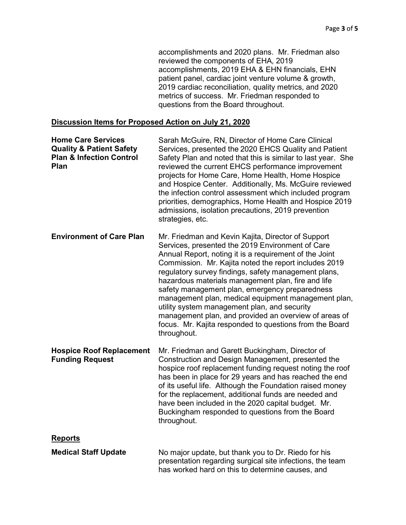accomplishments and 2020 plans. Mr. Friedman also reviewed the components of EHA, 2019 accomplishments, 2019 EHA & EHN financials, EHN patient panel, cardiac joint venture volume & growth, 2019 cardiac reconciliation, quality metrics, and 2020 metrics of success. Mr. Friedman responded to questions from the Board throughout. Page 3 of 5<br>
Page 3 of 5<br>
accomplishments, 2019 plans. Mr. Friedman also<br>
reviewed the components of EHA, 2019<br>
accomplishments, 2019 EHA & EHN financials, EHN<br>
patient panel, cardiac joint venture volume & growth,<br>
2019 c

## Discussion Items for Proposed Action on July 21, 2020

| <b>Home Care Services</b><br><b>Quality &amp; Patient Safety</b><br><b>Plan &amp; Infection Control</b><br>Plan | Sarah McGuire, RN, Director of Home Care Clinical<br>Services, presented the 2020 EHCS Quality and Patient<br>Safety Plan and noted that this is similar to last year. She<br>reviewed the current EHCS performance improvement<br>projects for Home Care, Home Health, Home Hospice<br>and Hospice Center. Additionally, Ms. McGuire reviewed<br>the infection control assessment which included program<br>priorities, demographics, Home Health and Hospice 2019<br>admissions, isolation precautions, 2019 prevention<br>strategies, etc.                                                                                       |
|-----------------------------------------------------------------------------------------------------------------|-------------------------------------------------------------------------------------------------------------------------------------------------------------------------------------------------------------------------------------------------------------------------------------------------------------------------------------------------------------------------------------------------------------------------------------------------------------------------------------------------------------------------------------------------------------------------------------------------------------------------------------|
| <b>Environment of Care Plan</b>                                                                                 | Mr. Friedman and Kevin Kajita, Director of Support<br>Services, presented the 2019 Environment of Care<br>Annual Report, noting it is a requirement of the Joint<br>Commission. Mr. Kajita noted the report includes 2019<br>regulatory survey findings, safety management plans,<br>hazardous materials management plan, fire and life<br>safety management plan, emergency preparedness<br>management plan, medical equipment management plan,<br>utility system management plan, and security<br>management plan, and provided an overview of areas of<br>focus. Mr. Kajita responded to questions from the Board<br>throughout. |
| <b>Hospice Roof Replacement</b><br><b>Funding Request</b>                                                       | Mr. Friedman and Garett Buckingham, Director of<br>Construction and Design Management, presented the<br>hospice roof replacement funding request noting the roof<br>has been in place for 29 years and has reached the end<br>of its useful life. Although the Foundation raised money<br>for the replacement, additional funds are needed and<br>have been included in the 2020 capital budget. Mr.<br>Buckingham responded to questions from the Board<br>throughout.                                                                                                                                                             |
| <b>Reports</b>                                                                                                  |                                                                                                                                                                                                                                                                                                                                                                                                                                                                                                                                                                                                                                     |
| <b>Medical Staff Update</b>                                                                                     | No major update, but thank you to Dr. Riedo for his<br>presentation regarding surgical site infections, the team<br>has worked hard on this to determine causes, and                                                                                                                                                                                                                                                                                                                                                                                                                                                                |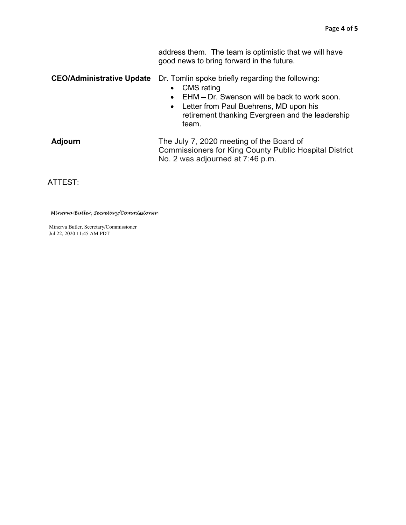address them. The team is optimistic that we will have good news to bring forward in the future.

CEO/Administrative Update Dr. Tomlin spoke briefly regarding the following:

- CMS rating
- $\bullet$  EHM  $-$  Dr. Swenson will be back to work soon.
- Letter from Paul Buehrens, MD upon his retirement thanking Evergreen and the leadership team.

| Adjourn | The July 7, 2020 meeting of the Board of                      |
|---------|---------------------------------------------------------------|
|         | <b>Commissioners for King County Public Hospital District</b> |
|         | No. 2 was adjourned at 7:46 p.m.                              |

ATTEST:

Minerva Butler, Secretary/Commissioner

Minerva Butler, Secretary/Commissioner Jul 22, 2020 11:45 AM PDT